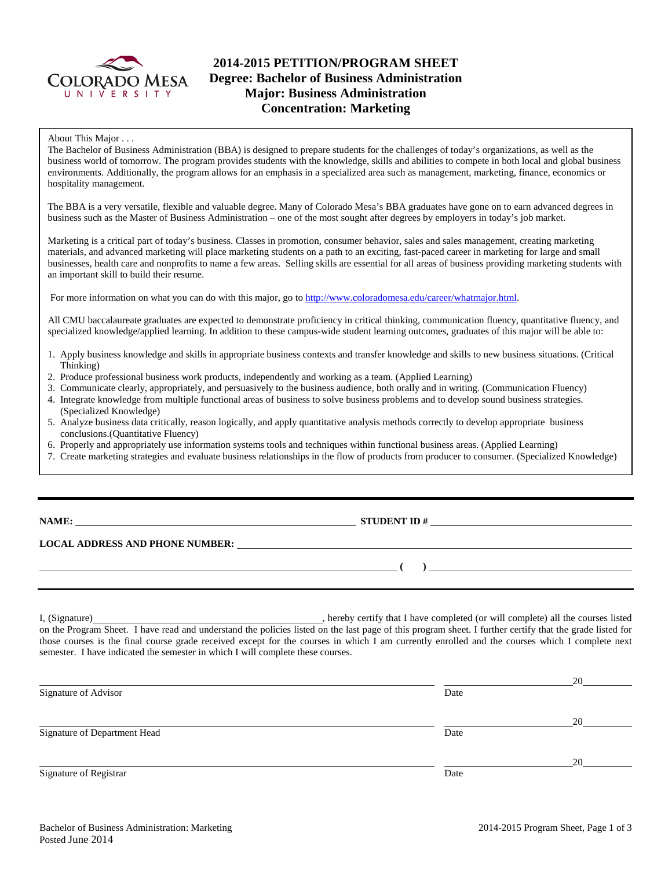

# **2014-2015 PETITION/PROGRAM SHEET Degree: Bachelor of Business Administration Major: Business Administration Concentration: Marketing**

#### About This Major . . .

The Bachelor of Business Administration (BBA) is designed to prepare students for the challenges of today's organizations, as well as the business world of tomorrow. The program provides students with the knowledge, skills and abilities to compete in both local and global business environments. Additionally, the program allows for an emphasis in a specialized area such as management, marketing, finance, economics or hospitality management.

The BBA is a very versatile, flexible and valuable degree. Many of Colorado Mesa's BBA graduates have gone on to earn advanced degrees in business such as the Master of Business Administration – one of the most sought after degrees by employers in today's job market.

Marketing is a critical part of today's business. Classes in promotion, consumer behavior, sales and sales management, creating marketing materials, and advanced marketing will place marketing students on a path to an exciting, fast-paced career in marketing for large and small businesses, health care and nonprofits to name a few areas. Selling skills are essential for all areas of business providing marketing students with an important skill to build their resume.

For more information on what you can do with this major, go t[o http://www.coloradomesa.edu/career/whatmajor.html.](http://www.coloradomesa.edu/career/whatmajor.html)

All CMU baccalaureate graduates are expected to demonstrate proficiency in critical thinking, communication fluency, quantitative fluency, and specialized knowledge/applied learning. In addition to these campus-wide student learning outcomes, graduates of this major will be able to:

- 1. Apply business knowledge and skills in appropriate business contexts and transfer knowledge and skills to new business situations. (Critical Thinking)
- 2. Produce professional business work products, independently and working as a team. (Applied Learning)
- 3. Communicate clearly, appropriately, and persuasively to the business audience, both orally and in writing. (Communication Fluency)
- 4. Integrate knowledge from multiple functional areas of business to solve business problems and to develop sound business strategies. (Specialized Knowledge)
- 5. Analyze business data critically, reason logically, and apply quantitative analysis methods correctly to develop appropriate business conclusions.(Quantitative Fluency)
- 6. Properly and appropriately use information systems tools and techniques within functional business areas. (Applied Learning)
- 7. Create marketing strategies and evaluate business relationships in the flow of products from producer to consumer. (Specialized Knowledge)

# **STUDENT ID #**

**( )** 

#### **LOCAL ADDRESS AND PHONE NUMBER:**

I, (Signature) , hereby certify that I have completed (or will complete) all the courses listed on the Program Sheet. I have read and understand the policies listed on the last page of this program sheet. I further certify that the grade listed for those courses is the final course grade received except for the courses in which I am currently enrolled and the courses which I complete next semester. I have indicated the semester in which I will complete these courses.

|                              |      | 20 |
|------------------------------|------|----|
| Signature of Advisor         | Date |    |
|                              |      | 20 |
| Signature of Department Head | Date |    |
|                              |      | 20 |
| Signature of Registrar       | Date |    |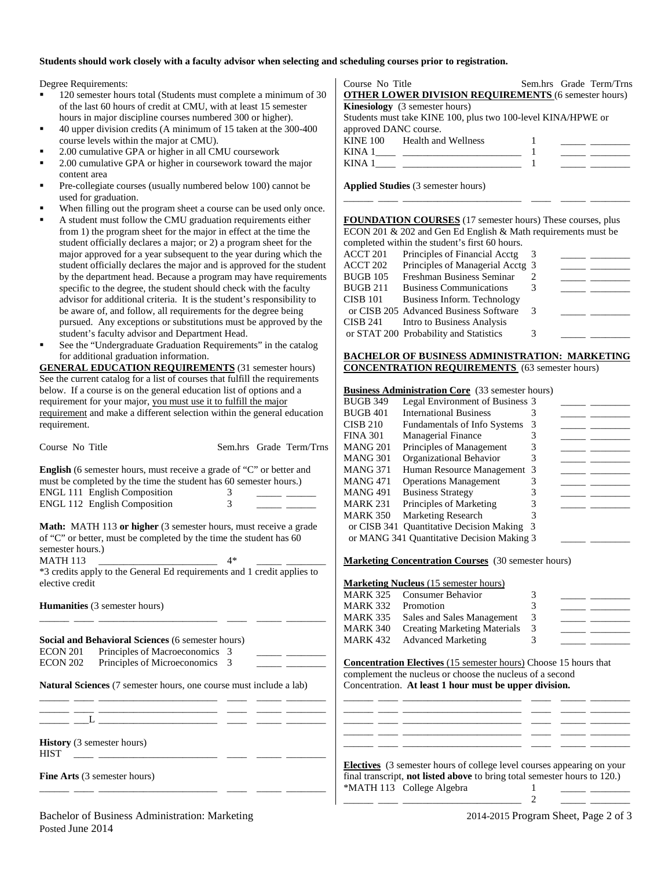#### **Students should work closely with a faculty advisor when selecting and scheduling courses prior to registration.**

Degree Requirements:

- 120 semester hours total (Students must complete a minimum of 30 of the last 60 hours of credit at CMU, with at least 15 semester hours in major discipline courses numbered 300 or higher).
- 40 upper division credits (A minimum of 15 taken at the 300-400 course levels within the major at CMU).
- 2.00 cumulative GPA or higher in all CMU coursework
- 2.00 cumulative GPA or higher in coursework toward the major content area
- Pre-collegiate courses (usually numbered below 100) cannot be used for graduation.
- When filling out the program sheet a course can be used only once.
- A student must follow the CMU graduation requirements either from 1) the program sheet for the major in effect at the time the student officially declares a major; or 2) a program sheet for the major approved for a year subsequent to the year during which the student officially declares the major and is approved for the student by the department head. Because a program may have requirements specific to the degree, the student should check with the faculty advisor for additional criteria. It is the student's responsibility to be aware of, and follow, all requirements for the degree being pursued. Any exceptions or substitutions must be approved by the student's faculty advisor and Department Head.
- See the "Undergraduate Graduation Requirements" in the catalog for additional graduation information.

**GENERAL EDUCATION REQUIREMENTS** (31 semester hours) See the current catalog for a list of courses that fulfill the requirements below. If a course is on the general education list of options and a requirement for your major, you must use it to fulfill the major requirement and make a different selection within the general education requirement.

| Course No Title                                                    | Sem.hrs Grade Term/Trns                                                     | <b>MANG 201</b> | Principles of Management                                                      | 3<br><u> De Santa Company (1999)</u>                                                                                                                                                                                                                                                                                                                                                                                                                |
|--------------------------------------------------------------------|-----------------------------------------------------------------------------|-----------------|-------------------------------------------------------------------------------|-----------------------------------------------------------------------------------------------------------------------------------------------------------------------------------------------------------------------------------------------------------------------------------------------------------------------------------------------------------------------------------------------------------------------------------------------------|
|                                                                    |                                                                             | <b>MANG 301</b> | Organizational Behavior                                                       | 3                                                                                                                                                                                                                                                                                                                                                                                                                                                   |
|                                                                    | <b>English</b> (6 semester hours, must receive a grade of "C" or better and | <b>MANG 371</b> | Human Resource Management 3                                                   | $\overline{\phantom{a}}$ and $\overline{\phantom{a}}$                                                                                                                                                                                                                                                                                                                                                                                               |
| must be completed by the time the student has 60 semester hours.)  |                                                                             | <b>MANG 471</b> | <b>Operations Management</b>                                                  | 3                                                                                                                                                                                                                                                                                                                                                                                                                                                   |
| <b>ENGL 111 English Composition</b>                                | 3                                                                           | <b>MANG 491</b> | <b>Business Strategy</b>                                                      | 3<br><u> 1989 - Johann John Stone</u>                                                                                                                                                                                                                                                                                                                                                                                                               |
| <b>ENGL 112 English Composition</b>                                | 3                                                                           | <b>MARK 231</b> | Principles of Marketing                                                       | 3                                                                                                                                                                                                                                                                                                                                                                                                                                                   |
|                                                                    |                                                                             | <b>MARK 350</b> | <b>Marketing Research</b>                                                     |                                                                                                                                                                                                                                                                                                                                                                                                                                                     |
|                                                                    | <b>Math:</b> MATH 113 or higher (3 semester hours, must receive a grade     |                 | or CISB 341 Quantitative Decision Making 3                                    |                                                                                                                                                                                                                                                                                                                                                                                                                                                     |
| of "C" or better, must be completed by the time the student has 60 |                                                                             |                 | or MANG 341 Quantitative Decision Making 3                                    |                                                                                                                                                                                                                                                                                                                                                                                                                                                     |
| semester hours.)                                                   |                                                                             |                 |                                                                               |                                                                                                                                                                                                                                                                                                                                                                                                                                                     |
| <b>MATH 113</b>                                                    | $4*$                                                                        |                 | <b>Marketing Concentration Courses</b> (30 semester hours)                    |                                                                                                                                                                                                                                                                                                                                                                                                                                                     |
|                                                                    | *3 credits apply to the General Ed requirements and 1 credit applies to     |                 |                                                                               |                                                                                                                                                                                                                                                                                                                                                                                                                                                     |
| elective credit                                                    |                                                                             |                 | <b>Marketing Nucleus</b> (15 semester hours)                                  |                                                                                                                                                                                                                                                                                                                                                                                                                                                     |
|                                                                    |                                                                             | <b>MARK 325</b> | <b>Consumer Behavior</b>                                                      | 3                                                                                                                                                                                                                                                                                                                                                                                                                                                   |
| Humanities (3 semester hours)                                      |                                                                             | <b>MARK 332</b> | Promotion                                                                     | 3<br>$\frac{1}{2} \left( \frac{1}{2} \right) = \frac{1}{2} \left( \frac{1}{2} \right) = \frac{1}{2} \left( \frac{1}{2} \right) = \frac{1}{2} \left( \frac{1}{2} \right) = \frac{1}{2} \left( \frac{1}{2} \right) = \frac{1}{2} \left( \frac{1}{2} \right) = \frac{1}{2} \left( \frac{1}{2} \right) = \frac{1}{2} \left( \frac{1}{2} \right) = \frac{1}{2} \left( \frac{1}{2} \right) = \frac{1}{2} \left( \frac{1}{2} \right) = \frac{1}{2} \left($ |
|                                                                    |                                                                             | <b>MARK 335</b> | Sales and Sales Management                                                    | 3<br>$\frac{1}{1-\frac{1}{1-\frac{1}{1-\frac{1}{1-\frac{1}{1-\frac{1}{1-\frac{1}{1-\frac{1}{1-\frac{1}{1-\frac{1}{1-\frac{1}{1-\frac{1}{1-\frac{1}{1-\frac{1}{1-\frac{1}{1-\frac{1}{1-\frac{1}{1-\frac{1}{1-\frac{1}{1-\frac{1}{1-\frac{1}{1-\frac{1}{1-\frac{1}{1-\frac{1}{1-\frac{1}{1-\frac{1}{1-\frac{1}{1-\frac{1}{1-\frac{1}{1-\frac{1}{1-\frac{1}{1-\frac{1}{1-\frac{1}{1-\frac{1}{1-\frac{1}{1-\frac{1}{1-\frac{1$                          |
|                                                                    |                                                                             | <b>MARK 340</b> | <b>Creating Marketing Materials</b>                                           | 3<br><u> The Common State State Sta</u>                                                                                                                                                                                                                                                                                                                                                                                                             |
| Social and Behavioral Sciences (6 semester hours)                  |                                                                             | <b>MARK 432</b> | <b>Advanced Marketing</b>                                                     | 3                                                                                                                                                                                                                                                                                                                                                                                                                                                   |
| Principles of Macroeconomics 3<br>ECON 201                         |                                                                             |                 |                                                                               |                                                                                                                                                                                                                                                                                                                                                                                                                                                     |
| <b>ECON 202</b><br>Principles of Microeconomics 3                  |                                                                             |                 | <b>Concentration Electives (15 semester hours)</b> Choose 15 hours that       |                                                                                                                                                                                                                                                                                                                                                                                                                                                     |
|                                                                    |                                                                             |                 | complement the nucleus or choose the nucleus of a second                      |                                                                                                                                                                                                                                                                                                                                                                                                                                                     |
|                                                                    | Natural Sciences (7 semester hours, one course must include a lab)          |                 | Concentration. At least 1 hour must be upper division.                        |                                                                                                                                                                                                                                                                                                                                                                                                                                                     |
|                                                                    |                                                                             |                 |                                                                               |                                                                                                                                                                                                                                                                                                                                                                                                                                                     |
| <u> 1989 - John Stein, Amerikaansk politiker (</u>                 |                                                                             |                 |                                                                               |                                                                                                                                                                                                                                                                                                                                                                                                                                                     |
|                                                                    |                                                                             |                 |                                                                               |                                                                                                                                                                                                                                                                                                                                                                                                                                                     |
|                                                                    |                                                                             |                 | the control of the control of the control of the control of the control of    |                                                                                                                                                                                                                                                                                                                                                                                                                                                     |
| <b>History</b> (3 semester hours)                                  |                                                                             |                 |                                                                               |                                                                                                                                                                                                                                                                                                                                                                                                                                                     |
| <b>HIST</b>                                                        |                                                                             |                 |                                                                               |                                                                                                                                                                                                                                                                                                                                                                                                                                                     |
|                                                                    |                                                                             |                 | <b>Electives</b> (3 semester hours of college level courses appearing on your |                                                                                                                                                                                                                                                                                                                                                                                                                                                     |
| <b>Fine Arts</b> (3 semester hours)                                |                                                                             |                 | final transcript, not listed above to bring total semester hours to 120.)     |                                                                                                                                                                                                                                                                                                                                                                                                                                                     |
|                                                                    |                                                                             |                 | *MATH 113 College Algebra                                                     |                                                                                                                                                                                                                                                                                                                                                                                                                                                     |
|                                                                    |                                                                             |                 |                                                                               | $\overline{c}$                                                                                                                                                                                                                                                                                                                                                                                                                                      |

Course No Title Sem.hrs Grade Term/Trns **OTHER LOWER DIVISION REQUIREMENTS** (6 semester hours) **Kinesiology** (3 semester hours) Students must take KINE 100, plus two 100-level KINA/HPWE or approved DANC course. KINE 100 Health and Wellness 1 \_\_\_\_\_ \_\_\_\_\_\_\_\_ KINA 1\_\_\_\_ \_\_\_\_\_\_\_\_\_\_\_\_\_\_\_\_\_\_\_\_\_\_\_\_ 1 \_\_\_\_\_ \_\_\_\_\_\_\_\_ KINA 1\_\_\_\_ \_\_\_\_\_\_\_\_\_\_\_\_\_\_\_\_\_\_\_\_\_\_\_\_ 1 \_\_\_\_\_ \_\_\_\_\_\_\_\_

**Applied Studies** (3 semester hours)

**FOUNDATION COURSES** (17 semester hours) These courses, plus ECON 201 & 202 and Gen Ed English & Math requirements must be completed within the student's first 60 hours.

\_\_\_\_\_\_ \_\_\_\_ \_\_\_\_\_\_\_\_\_\_\_\_\_\_\_\_\_\_\_\_\_\_\_\_ \_\_\_\_ \_\_\_\_\_ \_\_\_\_\_\_\_\_

| completed within the student's first oo hours. |                                        |   |  |  |
|------------------------------------------------|----------------------------------------|---|--|--|
| ACCT 201                                       | Principles of Financial Acctg          |   |  |  |
| ACCT 202                                       | Principles of Managerial Acctg 3       |   |  |  |
| <b>BUGB 105</b>                                | Freshman Business Seminar              |   |  |  |
| BUGB 211                                       | <b>Business Communications</b>         | 3 |  |  |
| CISB 101                                       | Business Inform. Technology            |   |  |  |
|                                                | or CISB 205 Advanced Business Software | 3 |  |  |
| CISB 241                                       | Intro to Business Analysis             |   |  |  |
|                                                | or STAT 200 Probability and Statistics | 3 |  |  |
|                                                |                                        |   |  |  |

#### **BACHELOR OF BUSINESS ADMINISTRATION: MARKETING CONCENTRATION REQUIREMENTS** (63 semester hours)

| <b>Business Administration Core</b> (33 semester hours) |  |
|---------------------------------------------------------|--|
|---------------------------------------------------------|--|

| <b>BUGB 349</b> | Legal Environment of Business 3            |   |  |
|-----------------|--------------------------------------------|---|--|
| <b>BUGB 401</b> | <b>International Business</b>              |   |  |
| <b>CISB 210</b> | <b>Fundamentals of Info Systems</b>        | 3 |  |
| <b>FINA 301</b> | <b>Managerial Finance</b>                  |   |  |
| MANG 201        | Principles of Management                   | 3 |  |
| <b>MANG 301</b> | Organizational Behavior                    | 3 |  |
| <b>MANG 371</b> | Human Resource Management 3                |   |  |
| MANG 471        | <b>Operations Management</b>               |   |  |
| <b>MANG 491</b> | <b>Business Strategy</b>                   |   |  |
| MARK 231        | Principles of Marketing                    |   |  |
| <b>MARK 350</b> | <b>Marketing Research</b>                  | 3 |  |
|                 | or CISB 341 Quantitative Decision Making   | 3 |  |
|                 | or MANG 341 Quantitative Decision Making 3 |   |  |
|                 |                                            |   |  |

#### **Marketing (15 semester hours)**

|          | <b>MARK 325 Consumer Behavior</b>   | 3  |  |
|----------|-------------------------------------|----|--|
| MARK 332 | Promotion                           |    |  |
| MARK 335 | Sales and Sales Management          | 3  |  |
| MARK 340 | <b>Creating Marketing Materials</b> | -3 |  |
|          | <b>MARK 432</b> Advanced Marketing  | 3  |  |
|          |                                     |    |  |

| <b>Electives</b> (3 semester hours of college level courses appearing on your    |
|----------------------------------------------------------------------------------|
| final transcript, <b>not listed above</b> to bring total semester hours to 120.) |
| *MATH 113 College Algebra                                                        |

Bachelor of Business Administration: Marketing 2014-2015 Program Sheet, Page 2 of 3 Posted June 2014